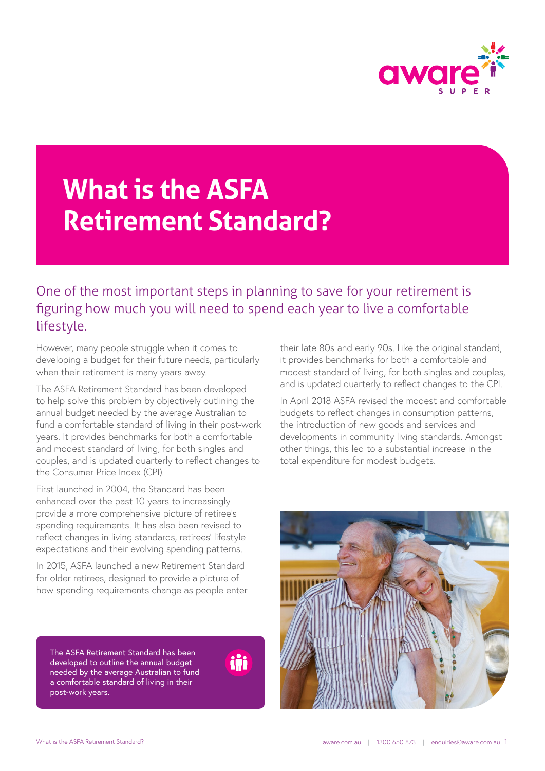

## **What is the ASFA Retirement Standard?**

One of the most important steps in planning to save for your retirement is figuring how much you will need to spend each year to live a comfortable lifestyle.

However, many people struggle when it comes to developing a budget for their future needs, particularly when their retirement is many years away.

The ASFA Retirement Standard has been developed to help solve this problem by objectively outlining the annual budget needed by the average Australian to fund a comfortable standard of living in their post-work years. It provides benchmarks for both a comfortable and modest standard of living, for both singles and couples, and is updated quarterly to reflect changes to the Consumer Price Index (CPI).

First launched in 2004, the Standard has been enhanced over the past 10 years to increasingly provide a more comprehensive picture of retiree's spending requirements. It has also been revised to reflect changes in living standards, retirees' lifestyle expectations and their evolving spending patterns.

In 2015, ASFA launched a new Retirement Standard for older retirees, designed to provide a picture of how spending requirements change as people enter

The ASFA Retirement Standard has been developed to outline the annual budget needed by the average Australian to fund a comfortable standard of living in their post-work years.

iůi

their late 80s and early 90s. Like the original standard, it provides benchmarks for both a comfortable and modest standard of living, for both singles and couples, and is updated quarterly to reflect changes to the CPI.

In April 2018 ASFA revised the modest and comfortable budgets to reflect changes in consumption patterns, the introduction of new goods and services and developments in community living standards. Amongst other things, this led to a substantial increase in the total expenditure for modest budgets.